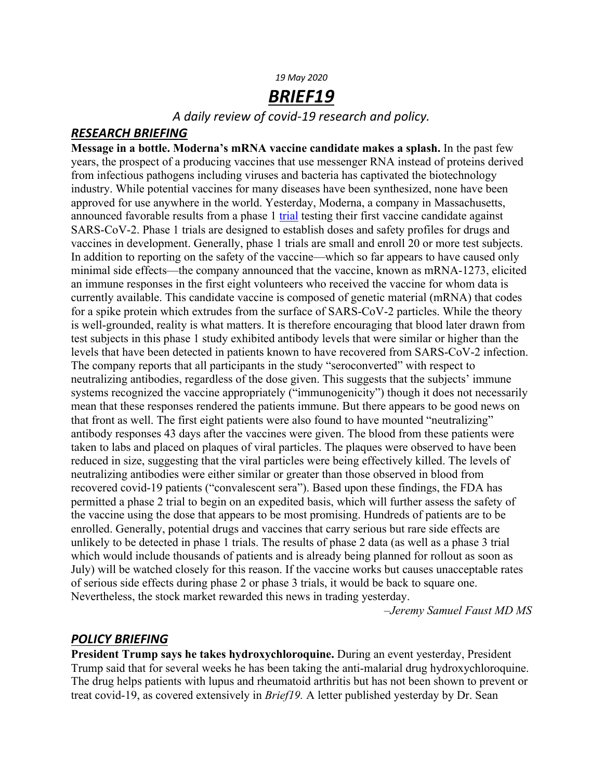#### *19 May 2020*

# *BRIEF19*

*A daily review of covid-19 research and policy.*

#### *RESEARCH BRIEFING*

**Message in a bottle. Moderna's mRNA vaccine candidate makes a splash.** In the past few years, the prospect of a producing vaccines that use messenger RNA instead of proteins derived from infectious pathogens including viruses and bacteria has captivated the biotechnology industry. While potential vaccines for many diseases have been synthesized, none have been approved for use anywhere in the world. Yesterday, Moderna, a company in Massachusetts, announced favorable results from a phase 1 trial testing their first vaccine candidate against SARS-CoV-2. Phase 1 trials are designed to establish doses and safety profiles for drugs and vaccines in development. Generally, phase 1 trials are small and enroll 20 or more test subjects. In addition to reporting on the safety of the vaccine—which so far appears to have caused only minimal side effects—the company announced that the vaccine, known as mRNA-1273, elicited an immune responses in the first eight volunteers who received the vaccine for whom data is currently available. This candidate vaccine is composed of genetic material (mRNA) that codes for a spike protein which extrudes from the surface of SARS-CoV-2 particles. While the theory is well-grounded, reality is what matters. It is therefore encouraging that blood later drawn from test subjects in this phase 1 study exhibited antibody levels that were similar or higher than the levels that have been detected in patients known to have recovered from SARS-CoV-2 infection. The company reports that all participants in the study "seroconverted" with respect to neutralizing antibodies, regardless of the dose given. This suggests that the subjects' immune systems recognized the vaccine appropriately ("immunogenicity") though it does not necessarily mean that these responses rendered the patients immune. But there appears to be good news on that front as well. The first eight patients were also found to have mounted "neutralizing" antibody responses 43 days after the vaccines were given. The blood from these patients were taken to labs and placed on plaques of viral particles. The plaques were observed to have been reduced in size, suggesting that the viral particles were being effectively killed. The levels of neutralizing antibodies were either similar or greater than those observed in blood from recovered covid-19 patients ("convalescent sera"). Based upon these findings, the FDA has permitted a phase 2 trial to begin on an expedited basis, which will further assess the safety of the vaccine using the dose that appears to be most promising. Hundreds of patients are to be enrolled. Generally, potential drugs and vaccines that carry serious but rare side effects are unlikely to be detected in phase 1 trials. The results of phase 2 data (as well as a phase 3 trial which would include thousands of patients and is already being planned for rollout as soon as July) will be watched closely for this reason. If the vaccine works but causes unacceptable rates of serious side effects during phase 2 or phase 3 trials, it would be back to square one. Nevertheless, the stock market rewarded this news in trading yesterday.

 *–Jeremy Samuel Faust MD MS*

### *POLICY BRIEFING*

**President Trump says he takes hydroxychloroquine.** During an event yesterday, President Trump said that for several weeks he has been taking the anti-malarial drug hydroxychloroquine. The drug helps patients with lupus and rheumatoid arthritis but has not been shown to prevent or treat covid-19, as covered extensively in *Brief19.* A letter published yesterday by Dr. Sean